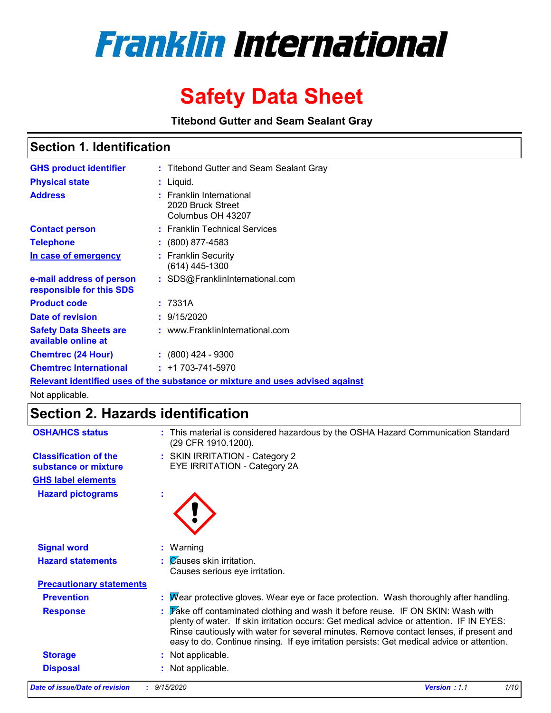

# **Safety Data Sheet**

**Titebond Gutter and Seam Sealant Gray**

## **Section 1. Identification**

| <b>GHS product identifier</b>                                                 |  | : Titebond Gutter and Seam Sealant Gray                            |  |  |  |
|-------------------------------------------------------------------------------|--|--------------------------------------------------------------------|--|--|--|
| <b>Physical state</b>                                                         |  | : Liquid.                                                          |  |  |  |
| <b>Address</b>                                                                |  | : Franklin International<br>2020 Bruck Street<br>Columbus OH 43207 |  |  |  |
| <b>Contact person</b>                                                         |  | : Franklin Technical Services                                      |  |  |  |
| <b>Telephone</b>                                                              |  | $\div$ (800) 877-4583                                              |  |  |  |
| In case of emergency                                                          |  | : Franklin Security<br>(614) 445-1300                              |  |  |  |
| e-mail address of person<br>responsible for this SDS                          |  | : SDS@FranklinInternational.com                                    |  |  |  |
| <b>Product code</b>                                                           |  | : 7331A                                                            |  |  |  |
| Date of revision                                                              |  | : 9/15/2020                                                        |  |  |  |
| <b>Safety Data Sheets are</b><br>available online at                          |  | : www.FranklinInternational.com                                    |  |  |  |
| <b>Chemtrec (24 Hour)</b>                                                     |  | $: (800)$ 424 - 9300                                               |  |  |  |
| <b>Chemtrec International</b>                                                 |  | $: +1703 - 741 - 5970$                                             |  |  |  |
| Relevant identified uses of the substance or mixture and uses advised against |  |                                                                    |  |  |  |

Not applicable.

## **Section 2. Hazards identification**

| <b>OSHA/HCS status</b>                               |   | : This material is considered hazardous by the OSHA Hazard Communication Standard<br>(29 CFR 1910.1200).                                                                                                                                                                                                                                                           |
|------------------------------------------------------|---|--------------------------------------------------------------------------------------------------------------------------------------------------------------------------------------------------------------------------------------------------------------------------------------------------------------------------------------------------------------------|
| <b>Classification of the</b><br>substance or mixture |   | : SKIN IRRITATION - Category 2<br>EYE IRRITATION - Category 2A                                                                                                                                                                                                                                                                                                     |
| <b>GHS label elements</b>                            |   |                                                                                                                                                                                                                                                                                                                                                                    |
| <b>Hazard pictograms</b>                             | ÷ |                                                                                                                                                                                                                                                                                                                                                                    |
| <b>Signal word</b>                                   |   | Warning                                                                                                                                                                                                                                                                                                                                                            |
| <b>Hazard statements</b>                             |   | Causes skin irritation.<br>Causes serious eye irritation.                                                                                                                                                                                                                                                                                                          |
| <b>Precautionary statements</b>                      |   |                                                                                                                                                                                                                                                                                                                                                                    |
| <b>Prevention</b>                                    |   | Wear protective gloves. Wear eye or face protection. Wash thoroughly after handling.                                                                                                                                                                                                                                                                               |
| <b>Response</b>                                      |   | Take off contaminated clothing and wash it before reuse. IF ON SKIN: Wash with<br>plenty of water. If skin irritation occurs: Get medical advice or attention. IF IN EYES:<br>Rinse cautiously with water for several minutes. Remove contact lenses, if present and<br>easy to do. Continue rinsing. If eye irritation persists: Get medical advice or attention. |
| <b>Storage</b>                                       |   | Not applicable.                                                                                                                                                                                                                                                                                                                                                    |
| <b>Disposal</b>                                      |   | Not applicable.                                                                                                                                                                                                                                                                                                                                                    |
| Date of issue/Date of revision                       |   | 1/10<br>9/15/2020<br><b>Version: 1.1</b>                                                                                                                                                                                                                                                                                                                           |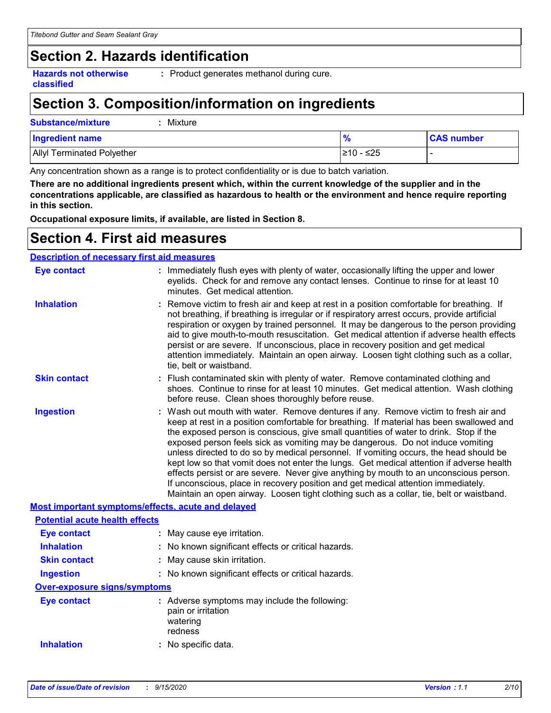## **Section 2. Hazards identification**

**Hazards not otherwise classified**

**:** Product generates methanol during cure.

## **Section 3. Composition/information on ingredients**

## **Substance/mixture :** Mixture

| <b>Ingredient name</b>            |            | <b>CAS number</b> |
|-----------------------------------|------------|-------------------|
| <b>Allyl Terminated Polyether</b> | l≥10 - ≤25 |                   |

Any concentration shown as a range is to protect confidentiality or is due to batch variation.

**There are no additional ingredients present which, within the current knowledge of the supplier and in the concentrations applicable, are classified as hazardous to health or the environment and hence require reporting in this section.**

**Occupational exposure limits, if available, are listed in Section 8.**

## **Section 4. First aid measures**

## **Description of necessary first aid measures**

| <b>Eye contact</b>                                 | : Immediately flush eyes with plenty of water, occasionally lifting the upper and lower<br>eyelids. Check for and remove any contact lenses. Continue to rinse for at least 10<br>minutes. Get medical attention.                                                                                                                                                                                                                                                                                                                                                                                                                                                                                                                                                                                                         |
|----------------------------------------------------|---------------------------------------------------------------------------------------------------------------------------------------------------------------------------------------------------------------------------------------------------------------------------------------------------------------------------------------------------------------------------------------------------------------------------------------------------------------------------------------------------------------------------------------------------------------------------------------------------------------------------------------------------------------------------------------------------------------------------------------------------------------------------------------------------------------------------|
| <b>Inhalation</b>                                  | : Remove victim to fresh air and keep at rest in a position comfortable for breathing. If<br>not breathing, if breathing is irregular or if respiratory arrest occurs, provide artificial<br>respiration or oxygen by trained personnel. It may be dangerous to the person providing<br>aid to give mouth-to-mouth resuscitation. Get medical attention if adverse health effects<br>persist or are severe. If unconscious, place in recovery position and get medical<br>attention immediately. Maintain an open airway. Loosen tight clothing such as a collar,<br>tie, belt or waistband.                                                                                                                                                                                                                              |
| <b>Skin contact</b>                                | : Flush contaminated skin with plenty of water. Remove contaminated clothing and<br>shoes. Continue to rinse for at least 10 minutes. Get medical attention. Wash clothing<br>before reuse. Clean shoes thoroughly before reuse.                                                                                                                                                                                                                                                                                                                                                                                                                                                                                                                                                                                          |
| <b>Ingestion</b>                                   | : Wash out mouth with water. Remove dentures if any. Remove victim to fresh air and<br>keep at rest in a position comfortable for breathing. If material has been swallowed and<br>the exposed person is conscious, give small quantities of water to drink. Stop if the<br>exposed person feels sick as vomiting may be dangerous. Do not induce vomiting<br>unless directed to do so by medical personnel. If vomiting occurs, the head should be<br>kept low so that vomit does not enter the lungs. Get medical attention if adverse health<br>effects persist or are severe. Never give anything by mouth to an unconscious person.<br>If unconscious, place in recovery position and get medical attention immediately.<br>Maintain an open airway. Loosen tight clothing such as a collar, tie, belt or waistband. |
| Most important symptoms/effects, acute and delayed |                                                                                                                                                                                                                                                                                                                                                                                                                                                                                                                                                                                                                                                                                                                                                                                                                           |
| <b>Potential acute health effects</b>              |                                                                                                                                                                                                                                                                                                                                                                                                                                                                                                                                                                                                                                                                                                                                                                                                                           |
| <b>Eye contact</b>                                 | : May cause eye irritation.                                                                                                                                                                                                                                                                                                                                                                                                                                                                                                                                                                                                                                                                                                                                                                                               |
| <b>Inhalation</b>                                  | : No known significant effects or critical hazards.                                                                                                                                                                                                                                                                                                                                                                                                                                                                                                                                                                                                                                                                                                                                                                       |
| <b>Skin contact</b>                                | : May cause skin irritation.                                                                                                                                                                                                                                                                                                                                                                                                                                                                                                                                                                                                                                                                                                                                                                                              |
| <b>Ingestion</b>                                   | : No known significant effects or critical hazards.                                                                                                                                                                                                                                                                                                                                                                                                                                                                                                                                                                                                                                                                                                                                                                       |
| <b>Over-exposure signs/symptoms</b>                |                                                                                                                                                                                                                                                                                                                                                                                                                                                                                                                                                                                                                                                                                                                                                                                                                           |
| <b>Eye contact</b>                                 | : Adverse symptoms may include the following:<br>pain or irritation<br>watering<br>redness                                                                                                                                                                                                                                                                                                                                                                                                                                                                                                                                                                                                                                                                                                                                |
| <b>Inhalation</b>                                  | : No specific data.                                                                                                                                                                                                                                                                                                                                                                                                                                                                                                                                                                                                                                                                                                                                                                                                       |
|                                                    |                                                                                                                                                                                                                                                                                                                                                                                                                                                                                                                                                                                                                                                                                                                                                                                                                           |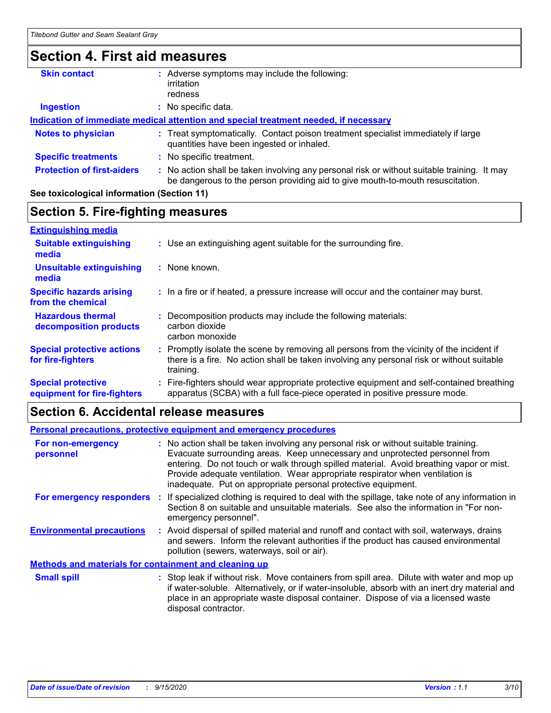## **Section 4. First aid measures**

| <b>Skin contact</b>               | Adverse symptoms may include the following:<br>irritation<br>redness                                                                                                          |
|-----------------------------------|-------------------------------------------------------------------------------------------------------------------------------------------------------------------------------|
| <b>Ingestion</b>                  | No specific data.                                                                                                                                                             |
|                                   | Indication of immediate medical attention and special treatment needed, if necessary                                                                                          |
| <b>Notes to physician</b>         | : Treat symptomatically. Contact poison treatment specialist immediately if large<br>quantities have been ingested or inhaled.                                                |
| <b>Specific treatments</b>        | : No specific treatment.                                                                                                                                                      |
| <b>Protection of first-aiders</b> | : No action shall be taken involving any personal risk or without suitable training. It may<br>be dangerous to the person providing aid to give mouth-to-mouth resuscitation. |

### **See toxicological information (Section 11)**

## **Section 5. Fire-fighting measures**

| <b>Extinguishing media</b>                               |                                                                                                                                                                                                     |
|----------------------------------------------------------|-----------------------------------------------------------------------------------------------------------------------------------------------------------------------------------------------------|
| <b>Suitable extinguishing</b><br>media                   | : Use an extinguishing agent suitable for the surrounding fire.                                                                                                                                     |
| <b>Unsuitable extinguishing</b><br>media                 | : None known.                                                                                                                                                                                       |
| <b>Specific hazards arising</b><br>from the chemical     | : In a fire or if heated, a pressure increase will occur and the container may burst.                                                                                                               |
| <b>Hazardous thermal</b><br>decomposition products       | Decomposition products may include the following materials:<br>carbon dioxide<br>carbon monoxide                                                                                                    |
| <b>Special protective actions</b><br>for fire-fighters   | : Promptly isolate the scene by removing all persons from the vicinity of the incident if<br>there is a fire. No action shall be taken involving any personal risk or without suitable<br>training. |
| <b>Special protective</b><br>equipment for fire-fighters | Fire-fighters should wear appropriate protective equipment and self-contained breathing<br>apparatus (SCBA) with a full face-piece operated in positive pressure mode.                              |

## **Section 6. Accidental release measures**

| Personal precautions, protective equipment and emergency procedures |  |                                                                                                                                                                                                                                                                                                                                                                                                                  |  |
|---------------------------------------------------------------------|--|------------------------------------------------------------------------------------------------------------------------------------------------------------------------------------------------------------------------------------------------------------------------------------------------------------------------------------------------------------------------------------------------------------------|--|
| For non-emergency<br>personnel                                      |  | : No action shall be taken involving any personal risk or without suitable training.<br>Evacuate surrounding areas. Keep unnecessary and unprotected personnel from<br>entering. Do not touch or walk through spilled material. Avoid breathing vapor or mist.<br>Provide adequate ventilation. Wear appropriate respirator when ventilation is<br>inadequate. Put on appropriate personal protective equipment. |  |
| For emergency responders                                            |  | If specialized clothing is required to deal with the spillage, take note of any information in<br>Section 8 on suitable and unsuitable materials. See also the information in "For non-<br>emergency personnel".                                                                                                                                                                                                 |  |
| <b>Environmental precautions</b>                                    |  | : Avoid dispersal of spilled material and runoff and contact with soil, waterways, drains<br>and sewers. Inform the relevant authorities if the product has caused environmental<br>pollution (sewers, waterways, soil or air).                                                                                                                                                                                  |  |
| <b>Methods and materials for containment and cleaning up</b>        |  |                                                                                                                                                                                                                                                                                                                                                                                                                  |  |
| <b>Small spill</b>                                                  |  | : Stop leak if without risk. Move containers from spill area. Dilute with water and mop up<br>if water-soluble. Alternatively, or if water-insoluble, absorb with an inert dry material and<br>place in an appropriate waste disposal container. Dispose of via a licensed waste<br>disposal contractor.                                                                                                         |  |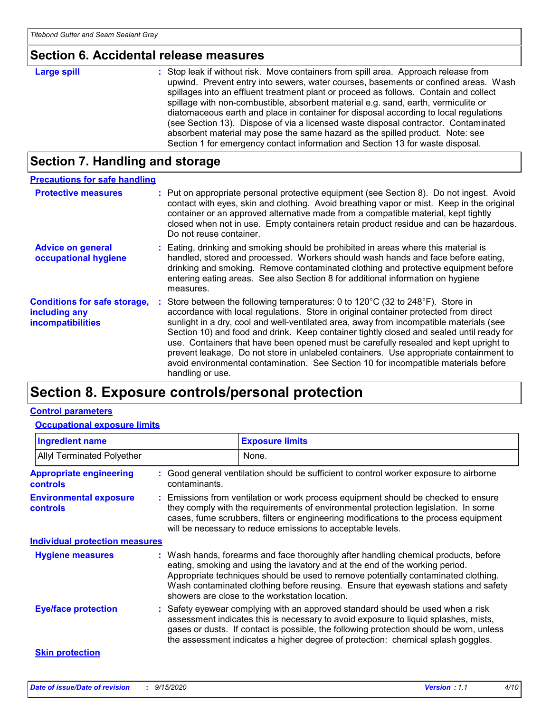## **Section 6. Accidental release measures**

| <b>Large spill</b> | : Stop leak if without risk. Move containers from spill area. Approach release from<br>upwind. Prevent entry into sewers, water courses, basements or confined areas. Wash<br>spillages into an effluent treatment plant or proceed as follows. Contain and collect<br>spillage with non-combustible, absorbent material e.g. sand, earth, vermiculite or<br>diatomaceous earth and place in container for disposal according to local regulations<br>(see Section 13). Dispose of via a licensed waste disposal contractor. Contaminated<br>absorbent material may pose the same hazard as the spilled product. Note: see |
|--------------------|----------------------------------------------------------------------------------------------------------------------------------------------------------------------------------------------------------------------------------------------------------------------------------------------------------------------------------------------------------------------------------------------------------------------------------------------------------------------------------------------------------------------------------------------------------------------------------------------------------------------------|
|                    | Section 1 for emergency contact information and Section 13 for waste disposal.                                                                                                                                                                                                                                                                                                                                                                                                                                                                                                                                             |

## **Section 7. Handling and storage**

| <b>Precautions for safe handling</b>                                      |                                                                                                                                                                                                                                                                                                                                                                                                                                                                                                                                                                                                                                                                             |
|---------------------------------------------------------------------------|-----------------------------------------------------------------------------------------------------------------------------------------------------------------------------------------------------------------------------------------------------------------------------------------------------------------------------------------------------------------------------------------------------------------------------------------------------------------------------------------------------------------------------------------------------------------------------------------------------------------------------------------------------------------------------|
| <b>Protective measures</b>                                                | : Put on appropriate personal protective equipment (see Section 8). Do not ingest. Avoid<br>contact with eyes, skin and clothing. Avoid breathing vapor or mist. Keep in the original<br>container or an approved alternative made from a compatible material, kept tightly<br>closed when not in use. Empty containers retain product residue and can be hazardous.<br>Do not reuse container.                                                                                                                                                                                                                                                                             |
| <b>Advice on general</b><br>occupational hygiene                          | : Eating, drinking and smoking should be prohibited in areas where this material is<br>handled, stored and processed. Workers should wash hands and face before eating,<br>drinking and smoking. Remove contaminated clothing and protective equipment before<br>entering eating areas. See also Section 8 for additional information on hygiene<br>measures.                                                                                                                                                                                                                                                                                                               |
| <b>Conditions for safe storage,</b><br>including any<br>incompatibilities | Store between the following temperatures: 0 to $120^{\circ}$ C (32 to $248^{\circ}$ F). Store in<br>accordance with local regulations. Store in original container protected from direct<br>sunlight in a dry, cool and well-ventilated area, away from incompatible materials (see<br>Section 10) and food and drink. Keep container tightly closed and sealed until ready for<br>use. Containers that have been opened must be carefully resealed and kept upright to<br>prevent leakage. Do not store in unlabeled containers. Use appropriate containment to<br>avoid environmental contamination. See Section 10 for incompatible materials before<br>handling or use. |

## **Section 8. Exposure controls/personal protection**

### **Control parameters**

### **Occupational exposure limits**

| <b>Ingredient name</b>                            |               | <b>Exposure limits</b>                                                                                                                                                                                                                                                                                                                                                                            |
|---------------------------------------------------|---------------|---------------------------------------------------------------------------------------------------------------------------------------------------------------------------------------------------------------------------------------------------------------------------------------------------------------------------------------------------------------------------------------------------|
| <b>Allyl Terminated Polyether</b>                 |               | None.                                                                                                                                                                                                                                                                                                                                                                                             |
| <b>Appropriate engineering</b><br><b>controls</b> | contaminants. | : Good general ventilation should be sufficient to control worker exposure to airborne                                                                                                                                                                                                                                                                                                            |
| <b>Environmental exposure</b><br><b>controls</b>  |               | : Emissions from ventilation or work process equipment should be checked to ensure<br>they comply with the requirements of environmental protection legislation. In some<br>cases, fume scrubbers, filters or engineering modifications to the process equipment<br>will be necessary to reduce emissions to acceptable levels.                                                                   |
| <b>Individual protection measures</b>             |               |                                                                                                                                                                                                                                                                                                                                                                                                   |
| <b>Hygiene measures</b>                           |               | : Wash hands, forearms and face thoroughly after handling chemical products, before<br>eating, smoking and using the lavatory and at the end of the working period.<br>Appropriate techniques should be used to remove potentially contaminated clothing.<br>Wash contaminated clothing before reusing. Ensure that eyewash stations and safety<br>showers are close to the workstation location. |
| <b>Eye/face protection</b>                        |               | : Safety eyewear complying with an approved standard should be used when a risk<br>assessment indicates this is necessary to avoid exposure to liquid splashes, mists,<br>gases or dusts. If contact is possible, the following protection should be worn, unless<br>the assessment indicates a higher degree of protection: chemical splash goggles.                                             |
| <b>Skin protection</b>                            |               |                                                                                                                                                                                                                                                                                                                                                                                                   |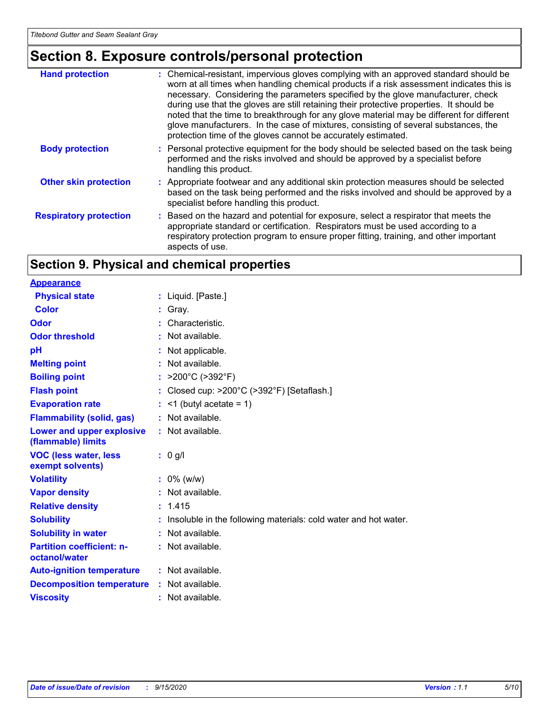## **Section 8. Exposure controls/personal protection**

| <b>Hand protection</b>        | : Chemical-resistant, impervious gloves complying with an approved standard should be<br>worn at all times when handling chemical products if a risk assessment indicates this is<br>necessary. Considering the parameters specified by the glove manufacturer, check<br>during use that the gloves are still retaining their protective properties. It should be<br>noted that the time to breakthrough for any glove material may be different for different<br>glove manufacturers. In the case of mixtures, consisting of several substances, the<br>protection time of the gloves cannot be accurately estimated. |
|-------------------------------|------------------------------------------------------------------------------------------------------------------------------------------------------------------------------------------------------------------------------------------------------------------------------------------------------------------------------------------------------------------------------------------------------------------------------------------------------------------------------------------------------------------------------------------------------------------------------------------------------------------------|
| <b>Body protection</b>        | : Personal protective equipment for the body should be selected based on the task being<br>performed and the risks involved and should be approved by a specialist before<br>handling this product.                                                                                                                                                                                                                                                                                                                                                                                                                    |
| <b>Other skin protection</b>  | : Appropriate footwear and any additional skin protection measures should be selected<br>based on the task being performed and the risks involved and should be approved by a<br>specialist before handling this product.                                                                                                                                                                                                                                                                                                                                                                                              |
| <b>Respiratory protection</b> | : Based on the hazard and potential for exposure, select a respirator that meets the<br>appropriate standard or certification. Respirators must be used according to a<br>respiratory protection program to ensure proper fitting, training, and other important<br>aspects of use.                                                                                                                                                                                                                                                                                                                                    |

## **Section 9. Physical and chemical properties**

| <b>Appearance</b>                                 |                                                                   |
|---------------------------------------------------|-------------------------------------------------------------------|
| <b>Physical state</b>                             | : Liquid. [Paste.]                                                |
| <b>Color</b>                                      | : Gray.                                                           |
| Odor                                              | Characteristic.                                                   |
| <b>Odor threshold</b>                             | : Not available.                                                  |
| pH                                                | : Not applicable.                                                 |
| <b>Melting point</b>                              | : Not available.                                                  |
| <b>Boiling point</b>                              | : $>200^{\circ}$ C ( $>392^{\circ}$ F)                            |
| <b>Flash point</b>                                | : Closed cup: >200°C (>392°F) [Setaflash.]                        |
| <b>Evaporation rate</b>                           | $:$ <1 (butyl acetate = 1)                                        |
| <b>Flammability (solid, gas)</b>                  | : Not available.                                                  |
| Lower and upper explosive<br>(flammable) limits   | : Not available.                                                  |
| <b>VOC (less water, less</b><br>exempt solvents)  | : 0 g/l                                                           |
| <b>Volatility</b>                                 | $: 0\%$ (w/w)                                                     |
| <b>Vapor density</b>                              | : Not available.                                                  |
| <b>Relative density</b>                           | : 1.415                                                           |
| <b>Solubility</b>                                 | : Insoluble in the following materials: cold water and hot water. |
| <b>Solubility in water</b>                        | : Not available.                                                  |
| <b>Partition coefficient: n-</b><br>octanol/water | : Not available.                                                  |
| <b>Auto-ignition temperature</b>                  | : Not available.                                                  |
| <b>Decomposition temperature</b>                  | : Not available.                                                  |
| <b>Viscosity</b>                                  | : Not available.                                                  |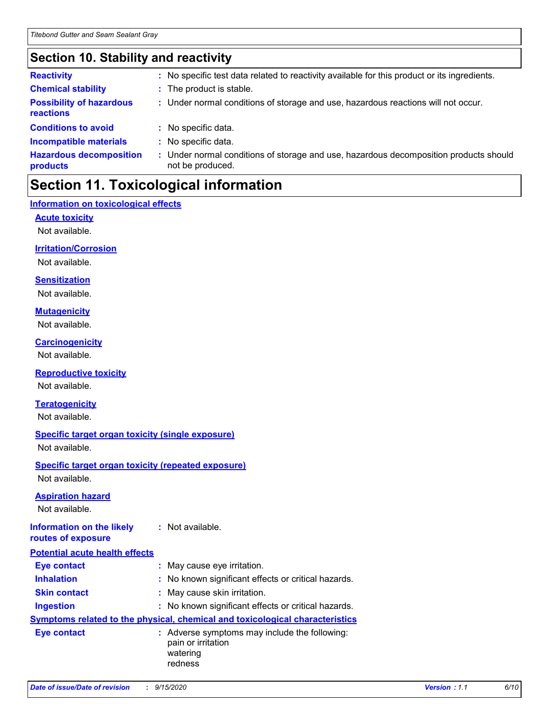## **Section 10. Stability and reactivity**

| <b>Reactivity</b>                            |    | : No specific test data related to reactivity available for this product or its ingredients.            |
|----------------------------------------------|----|---------------------------------------------------------------------------------------------------------|
| <b>Chemical stability</b>                    |    | : The product is stable.                                                                                |
| <b>Possibility of hazardous</b><br>reactions |    | : Under normal conditions of storage and use, hazardous reactions will not occur.                       |
| <b>Conditions to avoid</b>                   |    | : No specific data.                                                                                     |
| <b>Incompatible materials</b>                |    | No specific data.                                                                                       |
| <b>Hazardous decomposition</b><br>products   | ÷. | Under normal conditions of storage and use, hazardous decomposition products should<br>not be produced. |

## **Section 11. Toxicological information**

## **Information on toxicological effects**

**Acute toxicity**

Not available.

### **Irritation/Corrosion**

Not available.

### **Sensitization**

Not available.

### **Mutagenicity**

Not available.

### **Carcinogenicity**

Not available.

## **Reproductive toxicity**

Not available.

### **Teratogenicity**

Not available.

### **Specific target organ toxicity (single exposure)**

Not available.

### **Specific target organ toxicity (repeated exposure)** Not available.

### **Aspiration hazard**

Not available.

### **Information on the likely routes of exposure :** Not available.

| <b>Potential acute health effects</b> |                                                                                            |
|---------------------------------------|--------------------------------------------------------------------------------------------|
| <b>Eye contact</b>                    | : May cause eye irritation.                                                                |
| <b>Inhalation</b>                     | : No known significant effects or critical hazards.                                        |
| <b>Skin contact</b>                   | : May cause skin irritation.                                                               |
| <b>Ingestion</b>                      | : No known significant effects or critical hazards.                                        |
|                                       | <b>Symptoms related to the physical, chemical and toxicological characteristics</b>        |
| <b>Eye contact</b>                    | : Adverse symptoms may include the following:<br>pain or irritation<br>watering<br>redness |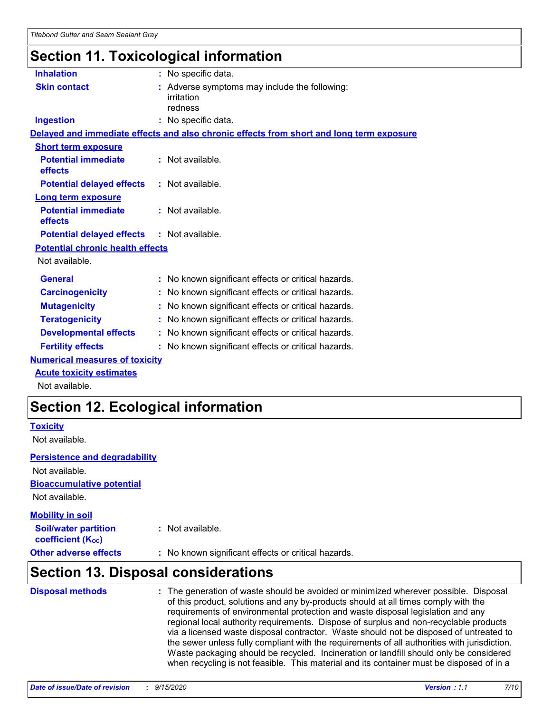## **Section 11. Toxicological information**

| <b>Inhalation</b>                       | : No specific data.                                                                      |
|-----------------------------------------|------------------------------------------------------------------------------------------|
| <b>Skin contact</b>                     | : Adverse symptoms may include the following:<br>irritation<br>redness                   |
| <b>Ingestion</b>                        | : No specific data.                                                                      |
|                                         | Delayed and immediate effects and also chronic effects from short and long term exposure |
| <b>Short term exposure</b>              |                                                                                          |
| <b>Potential immediate</b><br>effects   | $:$ Not available.                                                                       |
| <b>Potential delayed effects</b>        | $:$ Not available.                                                                       |
| <b>Long term exposure</b>               |                                                                                          |
| <b>Potential immediate</b><br>effects   | : Not available.                                                                         |
| <b>Potential delayed effects</b>        | $:$ Not available.                                                                       |
| <b>Potential chronic health effects</b> |                                                                                          |
| Not available.                          |                                                                                          |
| <b>General</b>                          | : No known significant effects or critical hazards.                                      |
| <b>Carcinogenicity</b>                  | : No known significant effects or critical hazards.                                      |
| <b>Mutagenicity</b>                     | : No known significant effects or critical hazards.                                      |
| <b>Teratogenicity</b>                   | : No known significant effects or critical hazards.                                      |
| <b>Developmental effects</b>            | : No known significant effects or critical hazards.                                      |
| <b>Fertility effects</b>                | : No known significant effects or critical hazards.                                      |
| <b>Numerical measures of toxicity</b>   |                                                                                          |
| <b>Acute toxicity estimates</b>         |                                                                                          |

Not available.

## **Section 12. Ecological information**

## **Toxicity**

Not available.

## **Persistence and degradability**

**Bioaccumulative potential** Not available. Not available.

### **Other adverse effects** : No known significant effects or critical hazards. **Soil/water partition coefficient (KOC) :** Not available. **Mobility in soil**

## **Section 13. Disposal considerations**

| <b>Disposal methods</b> | : The generation of waste should be avoided or minimized wherever possible. Disposal<br>of this product, solutions and any by-products should at all times comply with the<br>requirements of environmental protection and waste disposal legislation and any<br>regional local authority requirements. Dispose of surplus and non-recyclable products<br>via a licensed waste disposal contractor. Waste should not be disposed of untreated to<br>the sewer unless fully compliant with the requirements of all authorities with jurisdiction.<br>Waste packaging should be recycled. Incineration or landfill should only be considered<br>when recycling is not feasible. This material and its container must be disposed of in a |
|-------------------------|----------------------------------------------------------------------------------------------------------------------------------------------------------------------------------------------------------------------------------------------------------------------------------------------------------------------------------------------------------------------------------------------------------------------------------------------------------------------------------------------------------------------------------------------------------------------------------------------------------------------------------------------------------------------------------------------------------------------------------------|
|-------------------------|----------------------------------------------------------------------------------------------------------------------------------------------------------------------------------------------------------------------------------------------------------------------------------------------------------------------------------------------------------------------------------------------------------------------------------------------------------------------------------------------------------------------------------------------------------------------------------------------------------------------------------------------------------------------------------------------------------------------------------------|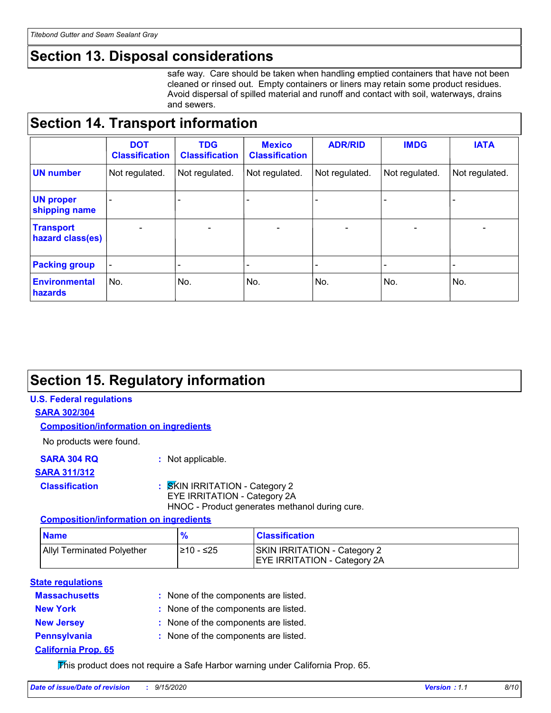## **Section 13. Disposal considerations**

safe way. Care should be taken when handling emptied containers that have not been cleaned or rinsed out. Empty containers or liners may retain some product residues. Avoid dispersal of spilled material and runoff and contact with soil, waterways, drains and sewers.

## **Section 14. Transport information**

|                                      | <b>DOT</b><br><b>Classification</b> | <b>TDG</b><br><b>Classification</b> | <b>Mexico</b><br><b>Classification</b> | <b>ADR/RID</b>           | <b>IMDG</b>    | <b>IATA</b>    |
|--------------------------------------|-------------------------------------|-------------------------------------|----------------------------------------|--------------------------|----------------|----------------|
| <b>UN number</b>                     | Not regulated.                      | Not regulated.                      | Not regulated.                         | Not regulated.           | Not regulated. | Not regulated. |
| <b>UN proper</b><br>shipping name    | $\blacksquare$                      |                                     |                                        |                          |                |                |
| <b>Transport</b><br>hazard class(es) | $\blacksquare$                      | $\blacksquare$                      | $\overline{\phantom{a}}$               | $\overline{\phantom{a}}$ | $\blacksquare$ | $\blacksquare$ |
| <b>Packing group</b>                 | $\overline{\phantom{a}}$            | -                                   | -                                      |                          |                | -              |
| <b>Environmental</b><br>hazards      | No.                                 | No.                                 | No.                                    | No.                      | No.            | No.            |

## **Section 15. Regulatory information**

## **U.S. Federal regulations**

**SARA 302/304**

### **Composition/information on ingredients**

No products were found.

**SARA 304 RQ :** Not applicable.

## **SARA 311/312**

## **Classification :** SKIN IRRITATION - Category 2

EYE IRRITATION - Category 2A

HNOC - Product generates methanol during cure.

### **Composition/information on ingredients**

| <b>Name</b>                       |            | <b>Classification</b>                                                      |
|-----------------------------------|------------|----------------------------------------------------------------------------|
| <b>Allyl Terminated Polyether</b> | I≥10 - ≤25 | <b>SKIN IRRITATION - Category 2</b><br><b>EYE IRRITATION - Category 2A</b> |

### **State regulations**

| <b>Massachusetts</b>       | : None of the components are listed. |
|----------------------------|--------------------------------------|
| <b>New York</b>            | : None of the components are listed. |
| <b>New Jersey</b>          | : None of the components are listed. |
| <b>Pennsylvania</b>        | : None of the components are listed. |
| <b>California Prop. 65</b> |                                      |

This product does not require a Safe Harbor warning under California Prop. 65.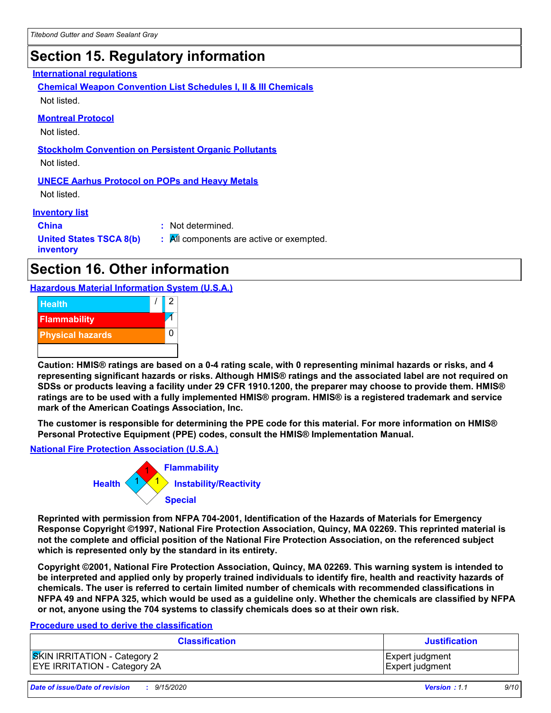## **Section 15. Regulatory information**

### **International regulations**

**Chemical Weapon Convention List Schedules I, II & III Chemicals** Not listed.

### **Montreal Protocol**

Not listed.

### **Stockholm Convention on Persistent Organic Pollutants**

Not listed.

### **UNECE Aarhus Protocol on POPs and Heavy Metals**

Not listed.

### **Inventory list**

**China :** Not determined. **United States TSCA 8(b) inventory :** All components are active or exempted.

## **Section 16. Other information**

**Hazardous Material Information System (U.S.A.)**



**Caution: HMIS® ratings are based on a 0-4 rating scale, with 0 representing minimal hazards or risks, and 4 representing significant hazards or risks. Although HMIS® ratings and the associated label are not required on SDSs or products leaving a facility under 29 CFR 1910.1200, the preparer may choose to provide them. HMIS® ratings are to be used with a fully implemented HMIS® program. HMIS® is a registered trademark and service mark of the American Coatings Association, Inc.**

**The customer is responsible for determining the PPE code for this material. For more information on HMIS® Personal Protective Equipment (PPE) codes, consult the HMIS® Implementation Manual.**

**National Fire Protection Association (U.S.A.)**



**Reprinted with permission from NFPA 704-2001, Identification of the Hazards of Materials for Emergency Response Copyright ©1997, National Fire Protection Association, Quincy, MA 02269. This reprinted material is not the complete and official position of the National Fire Protection Association, on the referenced subject which is represented only by the standard in its entirety.**

**Copyright ©2001, National Fire Protection Association, Quincy, MA 02269. This warning system is intended to be interpreted and applied only by properly trained individuals to identify fire, health and reactivity hazards of chemicals. The user is referred to certain limited number of chemicals with recommended classifications in NFPA 49 and NFPA 325, which would be used as a guideline only. Whether the chemicals are classified by NFPA or not, anyone using the 704 systems to classify chemicals does so at their own risk.**

### **Procedure used to derive the classification**

| <b>Classification</b>               | <b>Justification</b>   |
|-------------------------------------|------------------------|
| <b>SKIN IRRITATION</b> - Category 2 | <b>Expert judgment</b> |
| <b>EYE IRRITATION - Category 2A</b> | Expert judgment        |